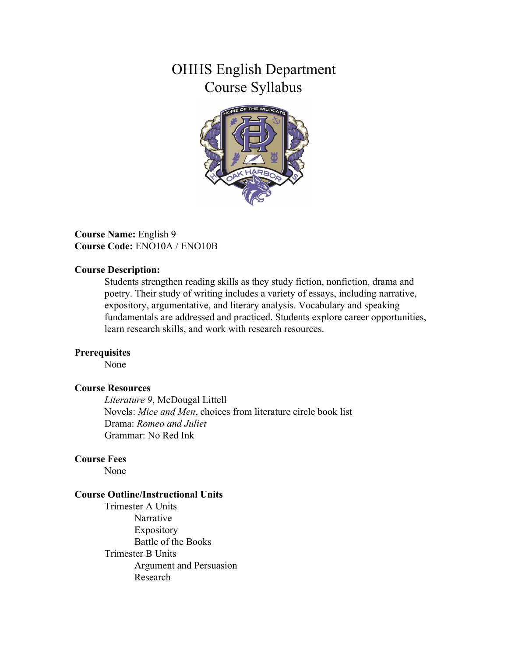# OHHS English Department Course Syllabus



**Course Name:** English 9 **Course Code:** ENO10A / ENO10B

#### **Course Description:**

Students strengthen reading skills as they study fiction, nonfiction, drama and poetry. Their study of writing includes a variety of essays, including narrative, expository, argumentative, and literary analysis. Vocabulary and speaking fundamentals are addressed and practiced. Students explore career opportunities, learn research skills, and work with research resources.

#### **Prerequisites**

None

#### **Course Resources**

*Literature 9*, McDougal Littell Novels: *Mice and Men*, choices from literature circle book list Drama: *Romeo and Juliet* Grammar: No Red Ink

### **Course Fees**

None

#### **Course Outline/Instructional Units**

Trimester A Units Narrative Expository Battle of the Books Trimester B Units Argument and Persuasion Research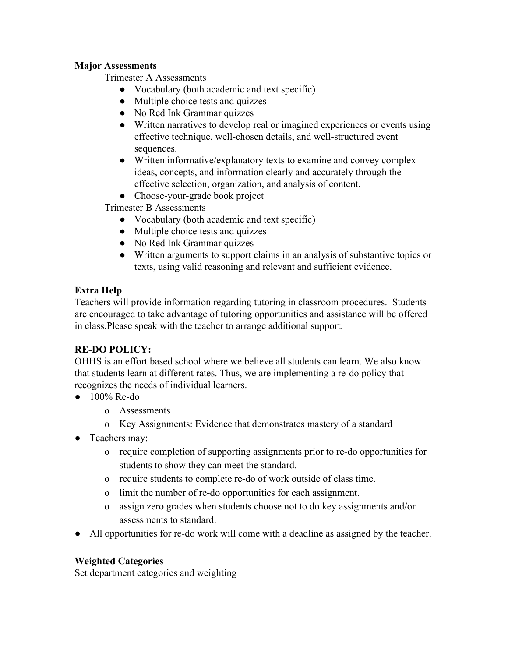## **Major Assessments**

Trimester A Assessments

- Vocabulary (both academic and text specific)
- Multiple choice tests and quizzes
- No Red Ink Grammar quizzes
- Written narratives to develop real or imagined experiences or events using effective technique, well-chosen details, and well-structured event sequences.
- Written informative/explanatory texts to examine and convey complex ideas, concepts, and information clearly and accurately through the effective selection, organization, and analysis of content.
- Choose-your-grade book project

Trimester B Assessments

- Vocabulary (both academic and text specific)
- Multiple choice tests and quizzes
- No Red Ink Grammar quizzes
- Written arguments to support claims in an analysis of substantive topics or texts, using valid reasoning and relevant and sufficient evidence.

## **Extra Help**

Teachers will provide information regarding tutoring in classroom procedures. Students are encouraged to take advantage of tutoring opportunities and assistance will be offered in class.Please speak with the teacher to arrange additional support.

# **RE-DO POLICY:**

OHHS is an effort based school where we believe all students can learn. We also know that students learn at different rates. Thus, we are implementing a re-do policy that recognizes the needs of individual learners.

- $\bullet$  100% Re-do
	- o Assessments
	- o Key Assignments: Evidence that demonstrates mastery of a standard
- Teachers may:
	- o require completion of supporting assignments prior to re-do opportunities for students to show they can meet the standard.
	- o require students to complete re-do of work outside of class time.
	- o limit the number of re-do opportunities for each assignment.
	- o assign zero grades when students choose not to do key assignments and/or assessments to standard.
- All opportunities for re-do work will come with a deadline as assigned by the teacher.

## **Weighted Categories**

Set department categories and weighting